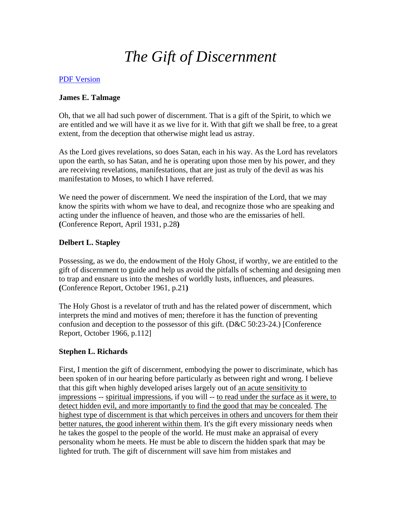# *The Gift of Discernment*

## [PDF Version](http://emp.byui.edu/SATTERFIELDB/PDF/Discernment.pdf)

## **James E. Talmage**

Oh, that we all had such power of discernment. That is a gift of the Spirit, to which we are entitled and we will have it as we live for it. With that gift we shall be free, to a great extent, from the deception that otherwise might lead us astray.

As the Lord gives revelations, so does Satan, each in his way. As the Lord has revelators upon the earth, so has Satan, and he is operating upon those men by his power, and they are receiving revelations, manifestations, that are just as truly of the devil as was his manifestation to Moses, to which I have referred.

We need the power of discernment. We need the inspiration of the Lord, that we may know the spirits with whom we have to deal, and recognize those who are speaking and acting under the influence of heaven, and those who are the emissaries of hell. **(**Conference Report, April 1931, p.28**)**

# **Delbert L. Stapley**

Possessing, as we do, the endowment of the Holy Ghost, if worthy, we are entitled to the gift of discernment to guide and help us avoid the pitfalls of scheming and designing men to trap and ensnare us into the meshes of worldly lusts, influences, and pleasures. **(**Conference Report, October 1961, p.21**)**

The Holy Ghost is a revelator of truth and has the related power of discernment, which interprets the mind and motives of men; therefore it has the function of preventing confusion and deception to the possessor of this gift. (D&C 50:23-24.) [Conference Report, October 1966, p.112]

## **Stephen L. Richards**

First, I mention the gift of discernment, embodying the power to discriminate, which has been spoken of in our hearing before particularly as between right and wrong. I believe that this gift when highly developed arises largely out of an acute sensitivity to impressions -- spiritual impressions, if you will -- to read under the surface as it were, to detect hidden evil, and more importantly to find the good that may be concealed. The highest type of discernment is that which perceives in others and uncovers for them their better natures, the good inherent within them. It's the gift every missionary needs when he takes the gospel to the people of the world. He must make an appraisal of every personality whom he meets. He must be able to discern the hidden spark that may be lighted for truth. The gift of discernment will save him from mistakes and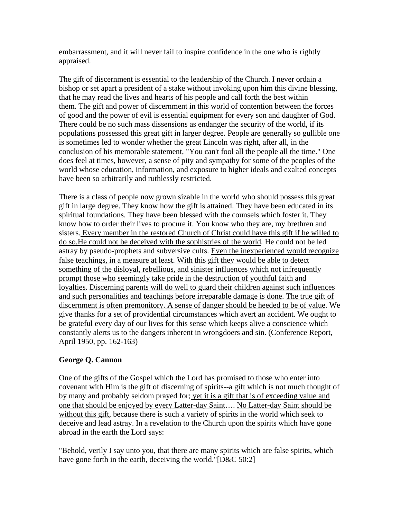embarrassment, and it will never fail to inspire confidence in the one who is rightly appraised.

The gift of discernment is essential to the leadership of the Church. I never ordain a bishop or set apart a president of a stake without invoking upon him this divine blessing, that he may read the lives and hearts of his people and call forth the best within them. The gift and power of discernment in this world of contention between the forces of good and the power of evil is essential equipment for every son and daughter of God. There could be no such mass dissensions as endanger the security of the world, if its populations possessed this great gift in larger degree. People are generally so gullible one is sometimes led to wonder whether the great Lincoln was right, after all, in the conclusion of his memorable statement, "You can't fool all the people all the time." One does feel at times, however, a sense of pity and sympathy for some of the peoples of the world whose education, information, and exposure to higher ideals and exalted concepts have been so arbitrarily and ruthlessly restricted.

There is a class of people now grown sizable in the world who should possess this great gift in large degree. They know how the gift is attained. They have been educated in its spiritual foundations. They have been blessed with the counsels which foster it. They know how to order their lives to procure it. You know who they are, my brethren and sisters. Every member in the restored Church of Christ could have this gift if he willed to do so.He could not be deceived with the sophistries of the world. He could not be led astray by pseudo-prophets and subversive cults. Even the inexperienced would recognize false teachings, in a measure at least. With this gift they would be able to detect something of the disloyal, rebellious, and sinister influences which not infrequently prompt those who seemingly take pride in the destruction of youthful faith and loyalties. Discerning parents will do well to guard their children against such influences and such personalities and teachings before irreparable damage is done. The true gift of discernment is often premonitory. A sense of danger should be heeded to be of value. We give thanks for a set of providential circumstances which avert an accident. We ought to be grateful every day of our lives for this sense which keeps alive a conscience which constantly alerts us to the dangers inherent in wrongdoers and sin. (Conference Report, April 1950, pp. 162-163)

## **George Q. Cannon**

One of the gifts of the Gospel which the Lord has promised to those who enter into covenant with Him is the gift of discerning of spirits--a gift which is not much thought of by many and probably seldom prayed for; yet it is a gift that is of exceeding value and one that should be enjoyed by every Latter-day Saint…. No Latter-day Saint should be without this gift, because there is such a variety of spirits in the world which seek to deceive and lead astray. In a revelation to the Church upon the spirits which have gone abroad in the earth the Lord says:

"Behold, verily I say unto you, that there are many spirits which are false spirits, which have gone forth in the earth, deceiving the world."[D&C 50:2]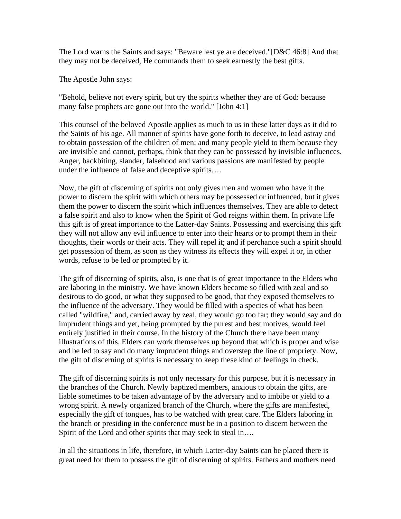The Lord warns the Saints and says: "Beware lest ye are deceived."[D&C 46:8] And that they may not be deceived, He commands them to seek earnestly the best gifts.

The Apostle John says:

"Behold, believe not every spirit, but try the spirits whether they are of God: because many false prophets are gone out into the world." [John 4:1]

This counsel of the beloved Apostle applies as much to us in these latter days as it did to the Saints of his age. All manner of spirits have gone forth to deceive, to lead astray and to obtain possession of the children of men; and many people yield to them because they are invisible and cannot, perhaps, think that they can be possessed by invisible influences. Anger, backbiting, slander, falsehood and various passions are manifested by people under the influence of false and deceptive spirits….

Now, the gift of discerning of spirits not only gives men and women who have it the power to discern the spirit with which others may be possessed or influenced, but it gives them the power to discern the spirit which influences themselves. They are able to detect a false spirit and also to know when the Spirit of God reigns within them. In private life this gift is of great importance to the Latter-day Saints. Possessing and exercising this gift they will not allow any evil influence to enter into their hearts or to prompt them in their thoughts, their words or their acts. They will repel it; and if perchance such a spirit should get possession of them, as soon as they witness its effects they will expel it or, in other words, refuse to be led or prompted by it.

The gift of discerning of spirits, also, is one that is of great importance to the Elders who are laboring in the ministry. We have known Elders become so filled with zeal and so desirous to do good, or what they supposed to be good, that they exposed themselves to the influence of the adversary. They would be filled with a species of what has been called "wildfire," and, carried away by zeal, they would go too far; they would say and do imprudent things and yet, being prompted by the purest and best motives, would feel entirely justified in their course. In the history of the Church there have been many illustrations of this. Elders can work themselves up beyond that which is proper and wise and be led to say and do many imprudent things and overstep the line of propriety. Now, the gift of discerning of spirits is necessary to keep these kind of feelings in check.

The gift of discerning spirits is not only necessary for this purpose, but it is necessary in the branches of the Church. Newly baptized members, anxious to obtain the gifts, are liable sometimes to be taken advantage of by the adversary and to imbibe or yield to a wrong spirit. A newly organized branch of the Church, where the gifts are manifested, especially the gift of tongues, has to be watched with great care. The Elders laboring in the branch or presiding in the conference must be in a position to discern between the Spirit of the Lord and other spirits that may seek to steal in....

In all the situations in life, therefore, in which Latter-day Saints can be placed there is great need for them to possess the gift of discerning of spirits. Fathers and mothers need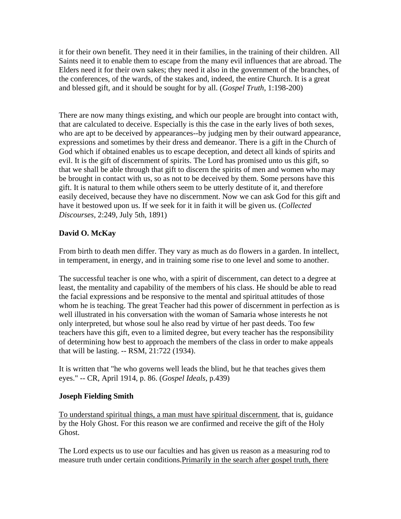it for their own benefit. They need it in their families, in the training of their children. All Saints need it to enable them to escape from the many evil influences that are abroad. The Elders need it for their own sakes; they need it also in the government of the branches, of the conferences, of the wards, of the stakes and, indeed, the entire Church. It is a great and blessed gift, and it should be sought for by all. (*Gospel Truth*, 1:198-200)

There are now many things existing, and which our people are brought into contact with, that are calculated to deceive. Especially is this the case in the early lives of both sexes, who are apt to be deceived by appearances--by judging men by their outward appearance, expressions and sometimes by their dress and demeanor. There is a gift in the Church of God which if obtained enables us to escape deception, and detect all kinds of spirits and evil. It is the gift of discernment of spirits. The Lord has promised unto us this gift, so that we shall be able through that gift to discern the spirits of men and women who may be brought in contact with us, so as not to be deceived by them. Some persons have this gift. It is natural to them while others seem to be utterly destitute of it, and therefore easily deceived, because they have no discernment. Now we can ask God for this gift and have it bestowed upon us. If we seek for it in faith it will be given us. (*Collected Discourses*, 2:249, July 5th, 1891)

## **David O. McKay**

From birth to death men differ. They vary as much as do flowers in a garden. In intellect, in temperament, in energy, and in training some rise to one level and some to another.

The successful teacher is one who, with a spirit of discernment, can detect to a degree at least, the mentality and capability of the members of his class. He should be able to read the facial expressions and be responsive to the mental and spiritual attitudes of those whom he is teaching. The great Teacher had this power of discernment in perfection as is well illustrated in his conversation with the woman of Samaria whose interests he not only interpreted, but whose soul he also read by virtue of her past deeds. Too few teachers have this gift, even to a limited degree, but every teacher has the responsibility of determining how best to approach the members of the class in order to make appeals that will be lasting. -- RSM, 21:722 (1934).

It is written that "he who governs well leads the blind, but he that teaches gives them eyes." -- CR, April 1914, p. 86. (*Gospel Ideals*, p.439)

#### **Joseph Fielding Smith**

To understand spiritual things, a man must have spiritual discernment, that is, guidance by the Holy Ghost. For this reason we are confirmed and receive the gift of the Holy Ghost.

The Lord expects us to use our faculties and has given us reason as a measuring rod to measure truth under certain conditions.Primarily in the search after gospel truth, there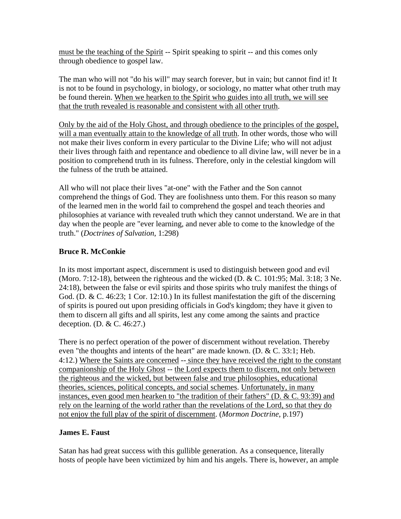must be the teaching of the Spirit -- Spirit speaking to spirit -- and this comes only through obedience to gospel law.

The man who will not "do his will" may search forever, but in vain; but cannot find it! It is not to be found in psychology, in biology, or sociology, no matter what other truth may be found therein. When we hearken to the Spirit who guides into all truth, we will see that the truth revealed is reasonable and consistent with all other truth.

Only by the aid of the Holy Ghost, and through obedience to the principles of the gospel, will a man eventually attain to the knowledge of all truth. In other words, those who will not make their lives conform in every particular to the Divine Life; who will not adjust their lives through faith and repentance and obedience to all divine law, will never be in a position to comprehend truth in its fulness. Therefore, only in the celestial kingdom will the fulness of the truth be attained.

All who will not place their lives "at-one" with the Father and the Son cannot comprehend the things of God. They are foolishness unto them. For this reason so many of the learned men in the world fail to comprehend the gospel and teach theories and philosophies at variance with revealed truth which they cannot understand. We are in that day when the people are "ever learning, and never able to come to the knowledge of the truth." (*Doctrines of Salvation*, 1:298)

## **Bruce R. McConkie**

In its most important aspect, discernment is used to distinguish between good and evil (Moro. 7:12-18), between the righteous and the wicked (D. & C. 101:95; Mal. 3:18; 3 Ne. 24:18), between the false or evil spirits and those spirits who truly manifest the things of God. (D. & C. 46:23; 1 Cor. 12:10.) In its fullest manifestation the gift of the discerning of spirits is poured out upon presiding officials in God's kingdom; they have it given to them to discern all gifts and all spirits, lest any come among the saints and practice deception. (D. & C. 46:27.)

There is no perfect operation of the power of discernment without revelation. Thereby even "the thoughts and intents of the heart" are made known.  $(D, \& C, 33:1; Heb)$ . 4:12.) Where the Saints are concerned -- since they have received the right to the constant companionship of the Holy Ghost -- the Lord expects them to discern, not only between the righteous and the wicked, but between false and true philosophies, educational theories, sciences, political concepts, and social schemes. Unfortunately, in many instances, even good men hearken to "the tradition of their fathers" (D. & C. 93:39) and rely on the learning of the world rather than the revelations of the Lord, so that they do not enjoy the full play of the spirit of discernment. (*Mormon Doctrine*, p.197)

#### **James E. Faust**

Satan has had great success with this gullible generation. As a consequence, literally hosts of people have been victimized by him and his angels. There is, however, an ample